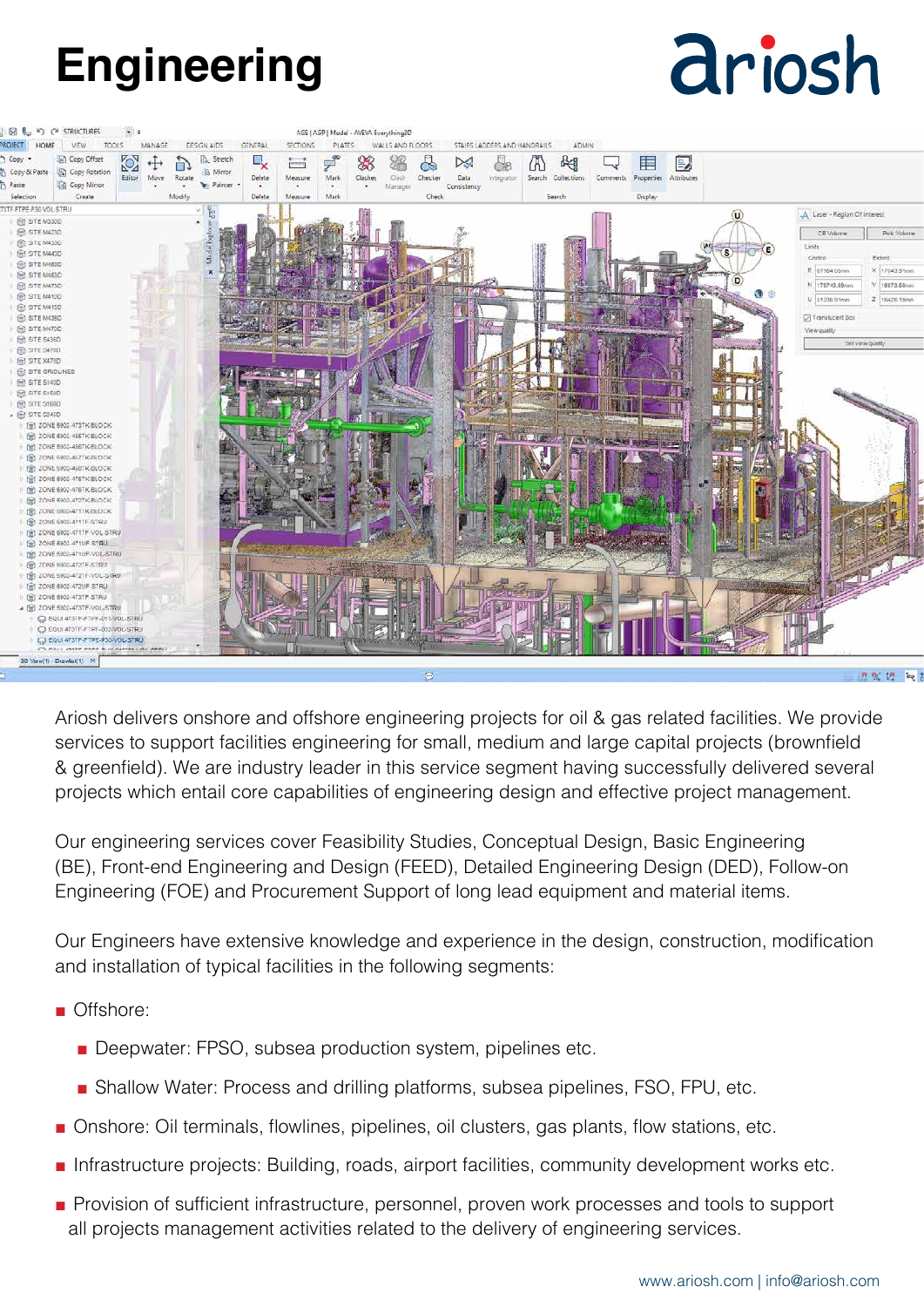## **Engineering**

# driosh



Ariosh delivers onshore and offshore engineering projects for oil & gas related facilities. We provide services to support facilities engineering for small, medium and large capital projects (brownfield & greenfield). We are industry leader in this service segment having successfully delivered several projects which entail core capabilities of engineering design and effective project management.

Our engineering services cover Feasibility Studies, Conceptual Design, Basic Engineering (BE), Front-end Engineering and Design (FEED), Detailed Engineering Design (DED), Follow-on Engineering (FOE) and Procurement Support of long lead equipment and material items.

Our Engineers have extensive knowledge and experience in the design, construction, modification and installation of typical facilities in the following segments:

- Offshore:
	- Deepwater: FPSO, subsea production system, pipelines etc.
	- Shallow Water: Process and drilling platforms, subsea pipelines, FSO, FPU, etc.
- Onshore: Oil terminals, flowlines, pipelines, oil clusters, gas plants, flow stations, etc.
- Infrastructure projects: Building, roads, airport facilities, community development works etc.
- Provision of sufficient infrastructure, personnel, proven work processes and tools to support all projects management activities related to the delivery of engineering services.